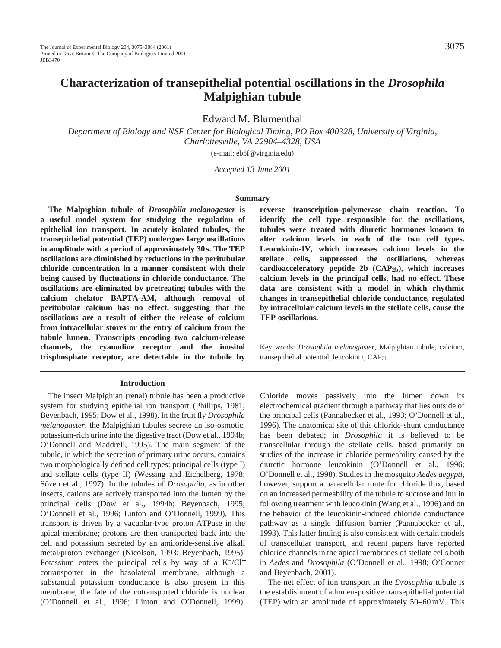# **Characterization of transepithelial potential oscillations in the** *Drosophila* **Malpighian tubule**

Edward M. Blumenthal

*Department of Biology and NSF Center for Biological Timing, PO Box 400328, University of Virginia, Charlottesville, VA 22904–4328, USA*

(e-mail: eb5f@virginia.edu)

*Accepted 13 June 2001* 

### **Summary**

**The Malpighian tubule of** *Drosophila melanogaster* **is a useful model system for studying the regulation of epithelial ion transport. In acutely isolated tubules, the transepithelial potential (TEP) undergoes large oscillations in amplitude with a period of approximately 30 s. The TEP oscillations are diminished by reductions in the peritubular chloride concentration in a manner consistent with their being caused by fluctuations in chloride conductance. The oscillations are eliminated by pretreating tubules with the calcium chelator BAPTA-AM, although removal of peritubular calcium has no effect, suggesting that the oscillations are a result of either the release of calcium from intracellular stores or the entry of calcium from the tubule lumen. Transcripts encoding two calcium-release channels, the ryanodine receptor and the inositol trisphosphate receptor, are detectable in the tubule by**

#### **Introduction**

The insect Malpighian (renal) tubule has been a productive system for studying epithelial ion transport (Phillips, 1981; Beyenbach, 1995; Dow et al., 1998). In the fruit fly *Drosophila melanogaster*, the Malpighian tubules secrete an iso-osmotic, potassium-rich urine into the digestive tract (Dow et al., 1994b; O'Donnell and Maddrell, 1995). The main segment of the tubule, in which the secretion of primary urine occurs, contains two morphologically defined cell types: principal cells (type I) and stellate cells (type II) (Wessing and Eichelberg, 1978; Sözen et al., 1997). In the tubules of *Drosophila*, as in other insects, cations are actively transported into the lumen by the principal cells (Dow et al., 1994b; Beyenbach, 1995; O'Donnell et al., 1996; Linton and O'Donnell, 1999). This transport is driven by a vacuolar-type proton-ATPase in the apical membrane; protons are then transported back into the cell and potassium secreted by an amiloride-sensitive alkali metal/proton exchanger (Nicolson, 1993; Beyenbach, 1995). Potassium enters the principal cells by way of a K+/Cl<sup>−</sup> cotransporter in the basolateral membrane, although a substantial potassium conductance is also present in this membrane; the fate of the cotransported chloride is unclear (O'Donnell et al., 1996; Linton and O'Donnell, 1999).

**reverse transcription–polymerase chain reaction. To identify the cell type responsible for the oscillations, tubules were treated with diuretic hormones known to alter calcium levels in each of the two cell types. Leucokinin-IV, which increases calcium levels in the stellate cells, suppressed the oscillations, whereas cardioacceleratory peptide 2b (CAP2b), which increases calcium levels in the principal cells, had no effect. These data are consistent with a model in which rhythmic changes in transepithelial chloride conductance, regulated by intracellular calcium levels in the stellate cells, cause the TEP oscillations.**

Key words: *Drosophila melanogaster*, Malpighian tubule, calcium, transepithelial potential, leucokinin, CAP2b.

Chloride moves passively into the lumen down its electrochemical gradient through a pathway that lies outside of the principal cells (Pannabecker et al., 1993; O'Donnell et al., 1996). The anatomical site of this chloride-shunt conductance has been debated; in *Drosophila* it is believed to be transcellular through the stellate cells, based primarily on studies of the increase in chloride permeability caused by the diuretic hormone leucokinin (O'Donnell et al., 1996; O'Donnell et al., 1998). Studies in the mosquito *Aedes aegypti*, however, support a paracellular route for chloride flux, based on an increased permeability of the tubule to sucrose and inulin following treatment with leucokinin (Wang et al., 1996) and on the behavior of the leucokinin-induced chloride conductance pathway as a single diffusion barrier (Pannabecker et al., 1993). This latter finding is also consistent with certain models of transcellular transport, and recent papers have reported chloride channels in the apical membranes of stellate cells both in *Aedes* and *Drosophila* (O'Donnell et al., 1998; O'Conner and Beyenbach, 2001).

The net effect of ion transport in the *Drosophila* tubule is the establishment of a lumen-positive transepithelial potential (TEP) with an amplitude of approximately 50–60 mV. This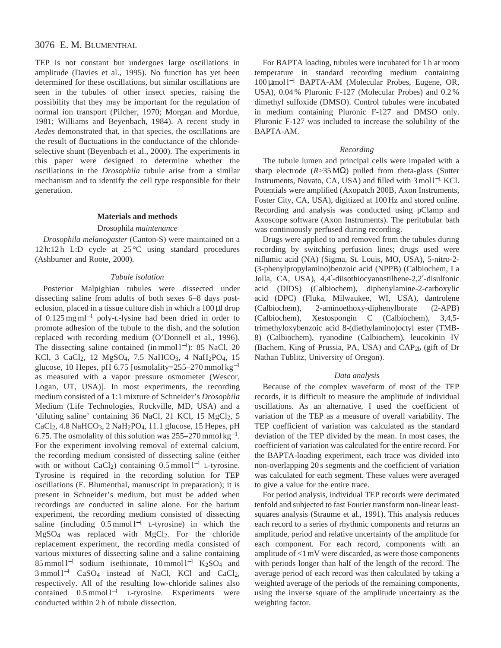TEP is not constant but undergoes large oscillations in amplitude (Davies et al., 1995). No function has yet been determined for these oscillations, but similar oscillations are seen in the tubules of other insect species, raising the possibility that they may be important for the regulation of normal ion transport (Pilcher, 1970; Morgan and Mordue, 1981; Williams and Beyenbach, 1984). A recent study in *Aedes* demonstrated that, in that species, the oscillations are the result of fluctuations in the conductance of the chlorideselective shunt (Beyenbach et al., 2000). The experiments in this paper were designed to determine whether the oscillations in the *Drosophila* tubule arise from a similar mechanism and to identify the cell type responsible for their generation.

### **Materials and methods**

### Drosophila *maintenance*

*Drosophila melanogaster* (Canton-S) were maintained on a 12 h:12 h L:D cycle at 25 °C using standard procedures (Ashburner and Roote, 2000).

### *Tubule isolation*

Posterior Malpighian tubules were dissected under dissecting saline from adults of both sexes 6–8 days posteclosion, placed in a tissue culture dish in which a 100 µl drop of 0.125 mg ml−<sup>1</sup> poly-L-lysine had been dried in order to promote adhesion of the tubule to the dish, and the solution replaced with recording medium (O'Donnell et al., 1996). The dissecting saline contained (in mmol l<sup>-1</sup>): 85 NaCl, 20 KCl, 3 CaCl<sub>2</sub>, 12 MgSO<sub>4</sub>, 7.5 NaHCO<sub>3</sub>, 4 NaH<sub>2</sub>PO<sub>4</sub>, 15 glucose, 10 Hepes, pH 6.75 [osmolality=255–270 mmol kg−<sup>1</sup> as measured with a vapor pressure osmometer (Wescor, Logan, UT, USA)]. In most experiments, the recording medium consisted of a 1:1 mixture of Schneider's *Drosophila* Medium (Life Technologies, Rockville, MD, USA) and a 'diluting saline' containing 36 NaCl, 21 KCl, 15 MgCl<sub>2</sub>, 5 CaCl<sub>2</sub>, 4.8 NaHCO<sub>3</sub>, 2 NaH<sub>2</sub>PO<sub>4</sub>, 11.1 glucose, 15 Hepes, pH 6.75. The osmolality of this solution was  $255-270$  mmol kg<sup>-1</sup>. For the experiment involving removal of external calcium, the recording medium consisted of dissecting saline (either with or without CaCl<sub>2</sub>) containing  $0.5 \text{ mmol } 1^{-1}$  L-tyrosine. Tyrosine is required in the recording solution for TEP oscillations (E. Blumenthal, manuscript in preparation); it is present in Schneider's medium, but must be added when recordings are conducted in saline alone. For the barium experiment, the recording medium consisted of dissecting saline (including  $0.5 \text{ mmol } l^{-1}$  L-tyrosine) in which the MgSO4 was replaced with MgCl2. For the chloride replacement experiment, the recording media consisted of various mixtures of dissecting saline and a saline containing 85 mmol l−<sup>1</sup> sodium isethionate, 10 mmol l−<sup>1</sup> K2SO4 and 3 mmol l<sup>-1</sup> CaSO<sub>4</sub> instead of NaCl, KCl and CaCl<sub>2</sub>, respectively. All of the resulting low-chloride salines also contained 0.5 mmol l−<sup>1</sup> L-tyrosine. Experiments were conducted within 2 h of tubule dissection.

For BAPTA loading, tubules were incubated for 1 h at room temperature in standard recording medium containing 100 µmol l−<sup>1</sup> BAPTA-AM (Molecular Probes, Eugene, OR, USA), 0.04 % Pluronic F-127 (Molecular Probes) and 0.2 % dimethyl sulfoxide (DMSO). Control tubules were incubated in medium containing Pluronic F-127 and DMSO only. Pluronic F-127 was included to increase the solubility of the BAPTA-AM.

### *Recording*

The tubule lumen and principal cells were impaled with a sharp electrode (*R*>35 MΩ) pulled from theta-glass (Sutter Instruments, Novato, CA, USA) and filled with 3 mol l−<sup>1</sup> KCl. Potentials were amplified (Axopatch 200B, Axon Instruments, Foster City, CA, USA), digitized at 100 Hz and stored online. Recording and analysis was conducted using pClamp and Axoscope software (Axon Instruments). The peritubular bath was continuously perfused during recording.

Drugs were applied to and removed from the tubules during recording by switching perfusion lines; drugs used were niflumic acid (NA) (Sigma, St. Louis, MO, USA), 5-nitro-2- (3-phenylpropylamino)benzoic acid (NPPB) (Calbiochem, La Jolla, CA, USA), 4,4′-diisothiocyanostilbene-2,2′-disulfonic acid (DIDS) (Calbiochem), diphenylamine-2-carboxylic acid (DPC) (Fluka, Milwaukee, WI, USA), dantrolene (Calbiochem), 2-aminoethoxy-diphenylborate (2-APB) (Calbiochem), Xestospongin C (Calbiochem), 3,4,5 trimethyloxybenzoic acid 8-(diethylamino)octyl ester (TMB-8) (Calbiochem), ryanodine (Calbiochem), leucokinin IV (Bachem, King of Prussia, PA, USA) and CAP2b (gift of Dr Nathan Tublitz, University of Oregon).

#### *Data analysis*

Because of the complex waveform of most of the TEP records, it is difficult to measure the amplitude of individual oscillations. As an alternative, I used the coefficient of variation of the TEP as a measure of overall variability. The TEP coefficient of variation was calculated as the standard deviation of the TEP divided by the mean. In most cases, the coefficient of variation was calculated for the entire record. For the BAPTA-loading experiment, each trace was divided into non-overlapping 20 s segments and the coefficient of variation was calculated for each segment. These values were averaged to give a value for the entire trace.

For period analysis, individual TEP records were decimated tenfold and subjected to fast Fourier transform non-linear leastsquares analysis (Straume et al., 1991). This analysis reduces each record to a series of rhythmic components and returns an amplitude, period and relative uncertainty of the amplitude for each component. For each record, components with an amplitude of <1 mV were discarded, as were those components with periods longer than half of the length of the record. The average period of each record was then calculated by taking a weighted average of the periods of the remaining components, using the inverse square of the amplitude uncertainty as the weighting factor.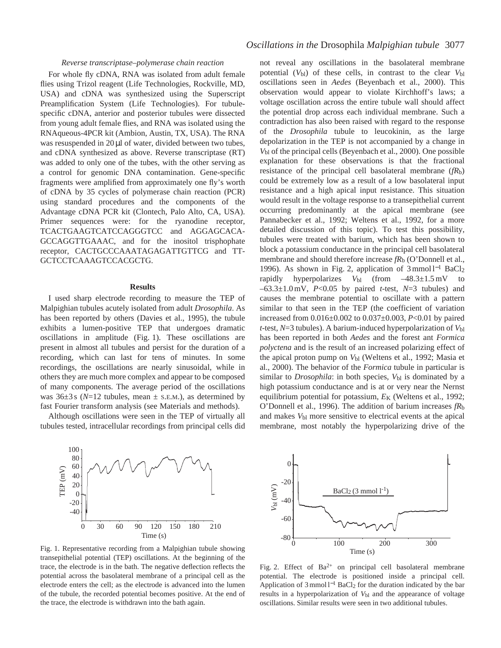### *Reverse transcriptase–polymerase chain reaction*

For whole fly cDNA, RNA was isolated from adult female flies using Trizol reagent (Life Technologies, Rockville, MD, USA) and cDNA was synthesized using the Superscript Preamplification System (Life Technologies). For tubulespecific cDNA, anterior and posterior tubules were dissected from young adult female flies, and RNA was isolated using the RNAqueous-4PCR kit (Ambion, Austin, TX, USA). The RNA was resuspended in 20 µl of water, divided between two tubes, and cDNA synthesized as above. Reverse transcriptase (RT) was added to only one of the tubes, with the other serving as a control for genomic DNA contamination. Gene-specific fragments were amplified from approximately one fly's worth of cDNA by 35 cycles of polymerase chain reaction (PCR) using standard procedures and the components of the Advantage cDNA PCR kit (Clontech, Palo Alto, CA, USA). Primer sequences were: for the ryanodine receptor, TCACTGAAGTCATCCAGGGTCC and AGGAGCACA-GCCAGGTTGAAAC, and for the inositol trisphophate receptor, CACTGCCCAAATAGAGATTGTTCG and TT-GCTCCTCAAAGTCCACGCTG.

### **Results**

I used sharp electrode recording to measure the TEP of Malpighian tubules acutely isolated from adult *Drosophila*. As has been reported by others (Davies et al., 1995), the tubule exhibits a lumen-positive TEP that undergoes dramatic oscillations in amplitude (Fig. 1). These oscillations are present in almost all tubules and persist for the duration of a recording, which can last for tens of minutes. In some recordings, the oscillations are nearly sinusoidal, while in others they are much more complex and appear to be composed of many components. The average period of the oscillations was  $36\pm3$  s ( $N=12$  tubules, mean  $\pm$  s.e.m.), as determined by fast Fourier transform analysis (see Materials and methods).

Although oscillations were seen in the TEP of virtually all tubules tested, intracellular recordings from principal cells did



not reveal any oscillations in the basolateral membrane potential  $(V_{bl})$  of these cells, in contrast to the clear  $V_{bl}$ oscillations seen in *Aedes* (Beyenbach et al., 2000). This observation would appear to violate Kirchhoff's laws; a voltage oscillation across the entire tubule wall should affect the potential drop across each individual membrane. Such a contradiction has also been raised with regard to the response of the *Drosophila* tubule to leucokinin, as the large depolarization in the TEP is not accompanied by a change in *V*bl of the principal cells (Beyenbach et al., 2000). One possible explanation for these observations is that the fractional resistance of the principal cell basolateral membrane (*fR*b) could be extremely low as a result of a low basolateral input resistance and a high apical input resistance. This situation would result in the voltage response to a transepithelial current occurring predominantly at the apical membrane (see Pannabecker et al., 1992; Weltens et al., 1992, for a more detailed discussion of this topic). To test this possibility, tubules were treated with barium, which has been shown to block a potassium conductance in the principal cell basolateral membrane and should therefore increase  $fR_b$  (O'Donnell et al., 1996). As shown in Fig. 2, application of 3 mmol l−<sup>1</sup> BaCl2 rapidly hyperpolarizes  $V_{bl}$  (from  $-48.3 \pm 1.5 \text{ mV}$  to –63.3±1.0 mV, *P*<0.05 by paired *t*-test, *N*=3 tubules) and causes the membrane potential to oscillate with a pattern similar to that seen in the TEP (the coefficient of variation increased from 0.016±0.002 to 0.037±0.003, *P*<0.01 by paired *t*-test, *N*=3 tubules). A barium-induced hyperpolarization of *V*bl has been reported in both *Aedes* and the forest ant *Formica polyctena* and is the result of an increased polarizing effect of the apical proton pump on  $V_{bl}$  (Weltens et al., 1992; Masia et al., 2000). The behavior of the *Formica* tubule in particular is similar to *Drosophila*: in both species,  $V_{bl}$  is dominated by a high potassium conductance and is at or very near the Nernst equilibrium potential for potassium,  $E<sub>K</sub>$  (Weltens et al., 1992; O'Donnell et al., 1996). The addition of barium increases *fR*b and makes  $V_{bl}$  more sensitive to electrical events at the apical membrane, most notably the hyperpolarizing drive of the



Fig. 1. Representative recording from a Malpighian tubule showing transepithelial potential (TEP) oscillations. At the beginning of the trace, the electrode is in the bath. The negative deflection reflects the potential across the basolateral membrane of a principal cell as the electrode enters the cell; as the electrode is advanced into the lumen of the tubule, the recorded potential becomes positive. At the end of the trace, the electrode is withdrawn into the bath again.

Fig. 2. Effect of  $Ba^{2+}$  on principal cell basolateral membrane potential. The electrode is positioned inside a principal cell. Application of 3 mmol l−<sup>1</sup> BaCl2 for the duration indicated by the bar results in a hyperpolarization of  $V_{bl}$  and the appearance of voltage oscillations. Similar results were seen in two additional tubules.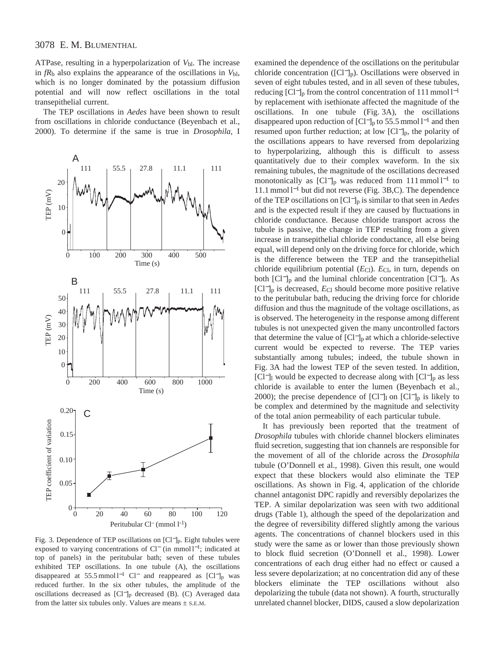ATPase, resulting in a hyperpolarization of  $V_{bl}$ . The increase in  $fR_b$  also explains the appearance of the oscillations in  $V_{bl}$ , which is no longer dominated by the potassium diffusion potential and will now reflect oscillations in the total transepithelial current.

The TEP oscillations in *Aedes* have been shown to result from oscillations in chloride conductance (Beyenbach et al., 2000). To determine if the same is true in *Drosophila*, I



Fig. 3. Dependence of TEP oscillations on [Cl−]p. Eight tubules were exposed to varying concentrations of  $Cl^-$  (in mmol  $l^{-1}$ ; indicated at top of panels) in the peritubular bath; seven of these tubules exhibited TEP oscillations. In one tubule (A), the oscillations disappeared at 55.5 mmol l<sup>-1</sup> Cl<sup>−</sup> and reappeared as [Cl<sup>−</sup>]<sub>p</sub> was reduced further. In the six other tubules, the amplitude of the oscillations decreased as [Cl−]p decreased (B). (C) Averaged data from the latter six tubules only. Values are means  $\pm$  s.E.M.

examined the dependence of the oscillations on the peritubular chloride concentration ( $\text{[Cl}^{-}\text{I}_p$ ). Oscillations were observed in seven of eight tubules tested, and in all seven of these tubules, reducing  $[Cl^-]_p$  from the control concentration of 111 mmol  $l^{-1}$ by replacement with isethionate affected the magnitude of the oscillations. In one tubule (Fig. 3A), the oscillations disappeared upon reduction of  $[Cl^-]_p$  to 55.5 mmol  $l^{-1}$  and then resumed upon further reduction; at low [Cl−]p, the polarity of the oscillations appears to have reversed from depolarizing to hyperpolarizing, although this is difficult to assess quantitatively due to their complex waveform. In the six remaining tubules, the magnitude of the oscillations decreased monotonically as [Cl−]p was reduced from 111 mmol l−<sup>1</sup> to 11.1 mmol l−<sup>1</sup> but did not reverse (Fig. 3B,C). The dependence of the TEP oscillations on [Cl−]p is similar to that seen in *Aedes* and is the expected result if they are caused by fluctuations in chloride conductance. Because chloride transport across the tubule is passive, the change in TEP resulting from a given increase in transepithelial chloride conductance, all else being equal, will depend only on the driving force for chloride, which is the difference between the TEP and the transepithelial chloride equilibrium potential (*E*<sub>Cl</sub>). *E*<sub>Cl</sub>, in turn, depends on both  $\left[\text{Cl}^-\right]_p$  and the luminal chloride concentration  $\left[\text{Cl}^-\right]_l$ . As [Cl−]p is decreased, *E*Cl should become more positive relative to the peritubular bath, reducing the driving force for chloride diffusion and thus the magnitude of the voltage oscillations, as is observed. The heterogeneity in the response among different tubules is not unexpected given the many uncontrolled factors that determine the value of [Cl−]p at which a chloride-selective current would be expected to reverse. The TEP varies substantially among tubules; indeed, the tubule shown in Fig. 3A had the lowest TEP of the seven tested. In addition, [Cl<sup>−</sup>]<sub>l</sub> would be expected to decrease along with  $[Cl^-]_p$  as less chloride is available to enter the lumen (Beyenbach et al., 2000); the precise dependence of  $[Cl^-]_1$  on  $[Cl^-]_p$  is likely to be complex and determined by the magnitude and selectivity of the total anion permeability of each particular tubule.

It has previously been reported that the treatment of *Drosophila* tubules with chloride channel blockers eliminates fluid secretion, suggesting that ion channels are responsible for the movement of all of the chloride across the *Drosophila* tubule (O'Donnell et al., 1998). Given this result, one would expect that these blockers would also eliminate the TEP oscillations. As shown in Fig. 4, application of the chloride channel antagonist DPC rapidly and reversibly depolarizes the TEP. A similar depolarization was seen with two additional drugs (Table 1), although the speed of the depolarization and the degree of reversibility differed slightly among the various agents. The concentrations of channel blockers used in this study were the same as or lower than those previously shown to block fluid secretion (O'Donnell et al., 1998). Lower concentrations of each drug either had no effect or caused a less severe depolarization; at no concentration did any of these blockers eliminate the TEP oscillations without also depolarizing the tubule (data not shown). A fourth, structurally unrelated channel blocker, DIDS, caused a slow depolarization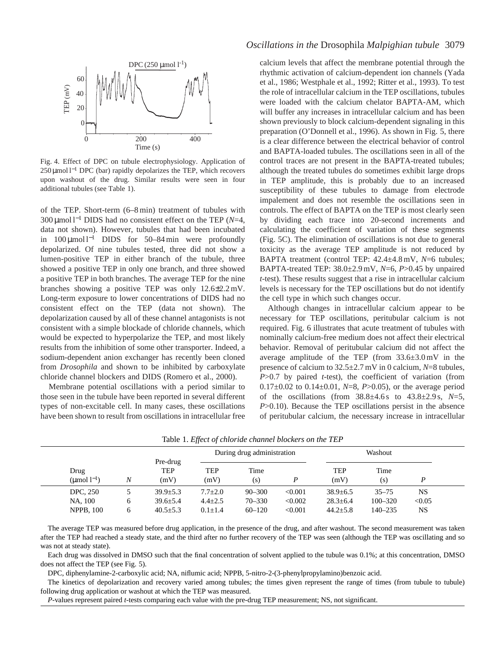

Fig. 4. Effect of DPC on tubule electrophysiology. Application of 250 µmol l<sup>-1</sup> DPC (bar) rapidly depolarizes the TEP, which recovers upon washout of the drug. Similar results were seen in four additional tubules (see Table 1).

of the TEP. Short-term (6–8 min) treatment of tubules with 300 µmol l−<sup>1</sup> DIDS had no consistent effect on the TEP (*N*=4, data not shown). However, tubules that had been incubated in 100 µmol l−<sup>1</sup> DIDS for 50–84 min were profoundly depolarized. Of nine tubules tested, three did not show a lumen-positive TEP in either branch of the tubule, three showed a positive TEP in only one branch, and three showed a positive TEP in both branches. The average TEP for the nine branches showing a positive TEP was only 12.6±2.2 mV. Long-term exposure to lower concentrations of DIDS had no consistent effect on the TEP (data not shown). The depolarization caused by all of these channel antagonists is not consistent with a simple blockade of chloride channels, which would be expected to hyperpolarize the TEP, and most likely results from the inhibition of some other transporter. Indeed, a sodium-dependent anion exchanger has recently been cloned from *Drosophila* and shown to be inhibited by carboxylate chloride channel blockers and DIDS (Romero et al., 2000).

Membrane potential oscillations with a period similar to those seen in the tubule have been reported in several different types of non-excitable cell. In many cases, these oscillations have been shown to result from oscillations in intracellular free

## *Oscillations in the* Drosophila *Malpighian tubule* 3079

calcium levels that affect the membrane potential through the rhythmic activation of calcium-dependent ion channels (Yada et al., 1986; Westphale et al., 1992; Ritter et al., 1993). To test the role of intracellular calcium in the TEP oscillations, tubules were loaded with the calcium chelator BAPTA-AM, which will buffer any increases in intracellular calcium and has been shown previously to block calcium-dependent signaling in this preparation (O'Donnell et al., 1996). As shown in Fig. 5, there is a clear difference between the electrical behavior of control and BAPTA-loaded tubules. The oscillations seen in all of the control traces are not present in the BAPTA-treated tubules; although the treated tubules do sometimes exhibit large drops in TEP amplitude, this is probably due to an increased susceptibility of these tubules to damage from electrode impalement and does not resemble the oscillations seen in controls. The effect of BAPTA on the TEP is most clearly seen by dividing each trace into 20-second increments and calculating the coefficient of variation of these segments (Fig. 5C). The elimination of oscillations is not due to general toxicity as the average TEP amplitude is not reduced by BAPTA treatment (control TEP: 42.4±4.8 mV, *N*=6 tubules; BAPTA-treated TEP: 38.0±2.9 mV, *N*=6, *P*>0.45 by unpaired *t*-test). These results suggest that a rise in intracellular calcium levels is necessary for the TEP oscillations but do not identify the cell type in which such changes occur.

Although changes in intracellular calcium appear to be necessary for TEP oscillations, peritubular calcium is not required. Fig. 6 illustrates that acute treatment of tubules with nominally calcium-free medium does not affect their electrical behavior. Removal of peritubular calcium did not affect the average amplitude of the TEP (from 33.6±3.0 mV in the presence of calcium to 32.5±2.7 mV in 0 calcium, *N*=8 tubules, *P*>0.7 by paired *t*-test), the coefficient of variation (from 0.17±0.02 to 0.14±0.01, *N*=8, *P*>0.05), or the average period of the oscillations (from 38.8±4.6 s to 43.8±2.9 s, *N*=5, *P*>0.10). Because the TEP oscillations persist in the absence of peritubular calcium, the necessary increase in intracellular

|                                 |   |                                | During drug administration |             |         |                    |             |        |  |
|---------------------------------|---|--------------------------------|----------------------------|-------------|---------|--------------------|-------------|--------|--|
| Drug<br>$(\text{µmol } l^{-1})$ | Ν | Pre-drug<br><b>TEP</b><br>(mV) | <b>TEP</b><br>(mV)         | Time<br>(s) |         | <b>TEP</b><br>(mV) | Time<br>(s) |        |  |
| <b>DPC.</b> 250                 |   | $39.9 \pm 5.3$                 | $7.7 \pm 2.0$              | $90 - 300$  | < 0.001 | $38.9 + 6.5$       | $35 - 75$   | NS     |  |
| NA. 100                         |   | $39.6 \pm 5.4$                 | $4.4 \pm 2.5$              | $70 - 330$  | < 0.002 | $28.3 \pm 6.4$     | $100 - 320$ | < 0.05 |  |
| <b>NPPB, 100</b>                |   | $40.5 \pm 5.3$                 | $0.1 \pm 1.4$              | $60 - 120$  | < 0.001 | $44.2 \pm 5.8$     | $140 - 235$ | NS     |  |

Table 1. *Effect of chloride channel blockers on the TEP*

The average TEP was measured before drug application, in the presence of the drug, and after washout. The second measurement was taken after the TEP had reached a steady state, and the third after no further recovery of the TEP was seen (although the TEP was oscillating and so was not at steady state).

Each drug was dissolved in DMSO such that the final concentration of solvent applied to the tubule was 0.1%; at this concentration, DMSO does not affect the TEP (see Fig. 5).

DPC, diphenylamine-2-carboxylic acid; NA, niflumic acid; NPPB, 5-nitro-2-(3-phenylpropylamino)benzoic acid.

The kinetics of depolarization and recovery varied among tubules; the times given represent the range of times (from tubule to tubule) following drug application or washout at which the TEP was measured.

*P*-values represent paired *t*-tests comparing each value with the pre-drug TEP measurement; NS, not significant.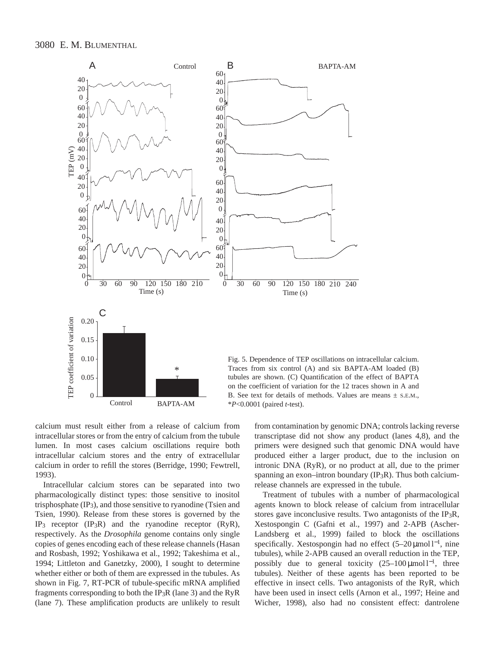



calcium must result either from a release of calcium from intracellular stores or from the entry of calcium from the tubule lumen. In most cases calcium oscillations require both intracellular calcium stores and the entry of extracellular calcium in order to refill the stores (Berridge, 1990; Fewtrell, 1993).

Intracellular calcium stores can be separated into two pharmacologically distinct types: those sensitive to inositol trisphosphate  $(\text{IP}_3)$ , and those sensitive to ryanodine (Tsien and Tsien, 1990). Release from these stores is governed by the IP3 receptor (IP3R) and the ryanodine receptor (RyR), respectively. As the *Drosophila* genome contains only single copies of genes encoding each of these release channels (Hasan and Rosbash, 1992; Yoshikawa et al., 1992; Takeshima et al., 1994; Littleton and Ganetzky, 2000), I sought to determine whether either or both of them are expressed in the tubules. As shown in Fig. 7, RT-PCR of tubule-specific mRNA amplified fragments corresponding to both the IP<sub>3</sub>R (lane 3) and the RyR (lane 7). These amplification products are unlikely to result

from contamination by genomic DNA; controls lacking reverse transcriptase did not show any product (lanes 4,8), and the primers were designed such that genomic DNA would have produced either a larger product, due to the inclusion on intronic DNA (RyR), or no product at all, due to the primer spanning an exon–intron boundary  $(IP_3R)$ . Thus both calciumrelease channels are expressed in the tubule.

Treatment of tubules with a number of pharmacological agents known to block release of calcium from intracellular stores gave inconclusive results. Two antagonists of the IP3R, Xestospongin C (Gafni et al., 1997) and 2-APB (Ascher-Landsberg et al., 1999) failed to block the oscillations specifically. Xestospongin had no effect (5–20 μmol l<sup>-1</sup>, nine tubules), while 2-APB caused an overall reduction in the TEP, possibly due to general toxicity  $(25-100 \,\mu mol l^{-1})$ , three tubules). Neither of these agents has been reported to be effective in insect cells. Two antagonists of the RyR, which have been used in insect cells (Arnon et al., 1997; Heine and Wicher, 1998), also had no consistent effect: dantrolene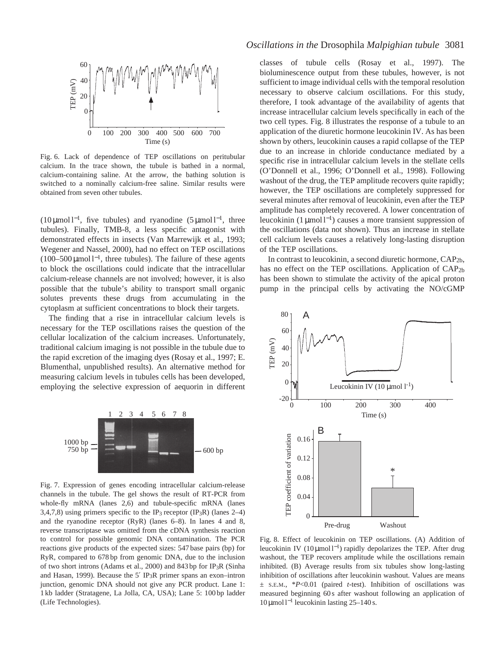

Fig. 6. Lack of dependence of TEP oscillations on peritubular calcium. In the trace shown, the tubule is bathed in a normal, calcium-containing saline. At the arrow, the bathing solution is switched to a nominally calcium-free saline. Similar results were obtained from seven other tubules.

(10  $\mu$ mol l<sup>-1</sup>, five tubules) and ryanodine (5  $\mu$ mol l<sup>-1</sup>, three tubules). Finally, TMB-8, a less specific antagonist with demonstrated effects in insects (Van Marrewijk et al., 1993; Wegener and Nassel, 2000), had no effect on TEP oscillations (100–500 µmol l<sup>-1</sup>, three tubules). The failure of these agents to block the oscillations could indicate that the intracellular calcium-release channels are not involved; however, it is also possible that the tubule's ability to transport small organic solutes prevents these drugs from accumulating in the cytoplasm at sufficient concentrations to block their targets.

The finding that a rise in intracellular calcium levels is necessary for the TEP oscillations raises the question of the cellular localization of the calcium increases. Unfortunately, traditional calcium imaging is not possible in the tubule due to the rapid excretion of the imaging dyes (Rosay et al., 1997; E. Blumenthal, unpublished results). An alternative method for measuring calcium levels in tubules cells has been developed, employing the selective expression of aequorin in different



Fig. 7. Expression of genes encoding intracellular calcium-release channels in the tubule. The gel shows the result of RT-PCR from whole-fly mRNA (lanes 2,6) and tubule-specific mRNA (lanes 3,4,7,8) using primers specific to the IP<sub>3</sub> receptor (IP<sub>3</sub>R) (lanes 2–4) and the ryanodine receptor (RyR) (lanes 6–8). In lanes 4 and 8, reverse transcriptase was omitted from the cDNA synthesis reaction to control for possible genomic DNA contamination. The PCR reactions give products of the expected sizes: 547 base pairs (bp) for RyR, compared to 678 bp from genomic DNA, due to the inclusion of two short introns (Adams et al., 2000) and 843 bp for IP3R (Sinha and Hasan, 1999). Because the 5′ IP3R primer spans an exon–intron junction, genomic DNA should not give any PCR product. Lane 1: 1 kb ladder (Stratagene, La Jolla, CA, USA); Lane 5: 100 bp ladder (Life Technologies).

classes of tubule cells (Rosay et al., 1997). The bioluminescence output from these tubules, however, is not sufficient to image individual cells with the temporal resolution necessary to observe calcium oscillations. For this study, therefore, I took advantage of the availability of agents that increase intracellular calcium levels specifically in each of the two cell types. Fig. 8 illustrates the response of a tubule to an application of the diuretic hormone leucokinin IV. As has been shown by others, leucokinin causes a rapid collapse of the TEP due to an increase in chloride conductance mediated by a specific rise in intracellular calcium levels in the stellate cells (O'Donnell et al., 1996; O'Donnell et al., 1998). Following washout of the drug, the TEP amplitude recovers quite rapidly; however, the TEP oscillations are completely suppressed for several minutes after removal of leucokinin, even after the TEP amplitude has completely recovered. A lower concentration of leucokinin  $(1 \mu \text{mol})^{-1}$  causes a more transient suppression of the oscillations (data not shown). Thus an increase in stellate cell calcium levels causes a relatively long-lasting disruption of the TEP oscillations.

In contrast to leucokinin, a second diuretic hormone, CAP2b, has no effect on the TEP oscillations. Application of CAP<sub>2b</sub> has been shown to stimulate the activity of the apical proton pump in the principal cells by activating the NO/cGMP



Fig. 8. Effect of leucokinin on TEP oscillations. (A) Addition of leucokinin IV (10 μmol l<sup>-1</sup>) rapidly depolarizes the TEP. After drug washout, the TEP recovers amplitude while the oscillations remain inhibited. (B) Average results from six tubules show long-lasting inhibition of oscillations after leucokinin washout. Values are means ± S.E.M., \**P*<0.01 (paired *t*-test). Inhibition of oscillations was measured beginning 60 s after washout following an application of 10 µmol l−<sup>1</sup> leucokinin lasting 25–140 s.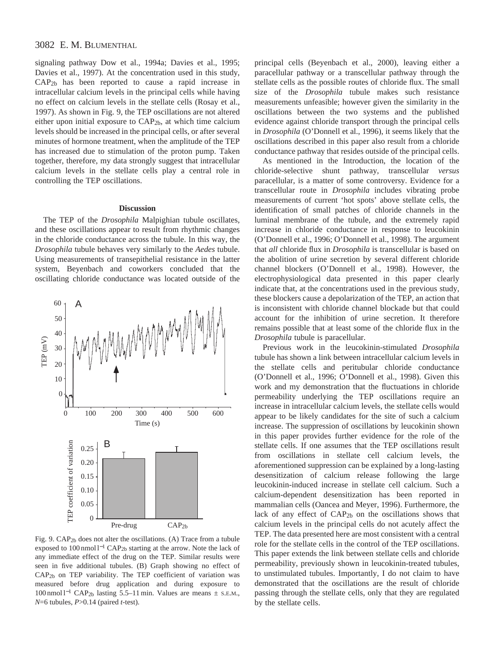signaling pathway Dow et al., 1994a; Davies et al., 1995; Davies et al., 1997). At the concentration used in this study, CAP2b has been reported to cause a rapid increase in intracellular calcium levels in the principal cells while having no effect on calcium levels in the stellate cells (Rosay et al., 1997). As shown in Fig. 9, the TEP oscillations are not altered either upon initial exposure to CAP2b, at which time calcium levels should be increased in the principal cells, or after several minutes of hormone treatment, when the amplitude of the TEP has increased due to stimulation of the proton pump. Taken together, therefore, my data strongly suggest that intracellular calcium levels in the stellate cells play a central role in controlling the TEP oscillations.

### **Discussion**

The TEP of the *Drosophila* Malpighian tubule oscillates, and these oscillations appear to result from rhythmic changes in the chloride conductance across the tubule. In this way, the *Drosophila* tubule behaves very similarly to the *Aedes* tubule. Using measurements of transepithelial resistance in the latter system, Beyenbach and coworkers concluded that the oscillating chloride conductance was located outside of the



Fig. 9. CAP2b does not alter the oscillations. (A) Trace from a tubule exposed to 100 nmol l−<sup>1</sup> CAP2b starting at the arrow. Note the lack of any immediate effect of the drug on the TEP. Similar results were seen in five additional tubules. (B) Graph showing no effect of CAP2b on TEP variability. The TEP coefficient of variation was measured before drug application and during exposure to 100 nmol l−<sup>1</sup> CAP2b lasting 5.5–11 min. Values are means ± S.E.M., *N*=6 tubules, *P*>0.14 (paired *t*-test).

principal cells (Beyenbach et al., 2000), leaving either a paracellular pathway or a transcellular pathway through the stellate cells as the possible routes of chloride flux. The small size of the *Drosophila* tubule makes such resistance measurements unfeasible; however given the similarity in the oscillations between the two systems and the published evidence against chloride transport through the principal cells in *Drosophila* (O'Donnell et al., 1996), it seems likely that the oscillations described in this paper also result from a chloride conductance pathway that resides outside of the principal cells.

As mentioned in the Introduction, the location of the chloride-selective shunt pathway, transcellular *versus* paracellular, is a matter of some controversy. Evidence for a transcellular route in *Drosophila* includes vibrating probe measurements of current 'hot spots' above stellate cells, the identification of small patches of chloride channels in the luminal membrane of the tubule, and the extremely rapid increase in chloride conductance in response to leucokinin (O'Donnell et al., 1996; O'Donnell et al., 1998). The argument that *all* chloride flux in *Drosophila* is transcellular is based on the abolition of urine secretion by several different chloride channel blockers (O'Donnell et al., 1998). However, the electrophysiological data presented in this paper clearly indicate that, at the concentrations used in the previous study, these blockers cause a depolarization of the TEP, an action that is inconsistent with chloride channel blockade but that could account for the inhibition of urine secretion. It therefore remains possible that at least some of the chloride flux in the *Drosophila* tubule is paracellular.

Previous work in the leucokinin-stimulated *Drosophila* tubule has shown a link between intracellular calcium levels in the stellate cells and peritubular chloride conductance (O'Donnell et al., 1996; O'Donnell et al., 1998). Given this work and my demonstration that the fluctuations in chloride permeability underlying the TEP oscillations require an increase in intracellular calcium levels, the stellate cells would appear to be likely candidates for the site of such a calcium increase. The suppression of oscillations by leucokinin shown in this paper provides further evidence for the role of the stellate cells. If one assumes that the TEP oscillations result from oscillations in stellate cell calcium levels, the aforementioned suppression can be explained by a long-lasting desensitization of calcium release following the large leucokinin-induced increase in stellate cell calcium. Such a calcium-dependent desensitization has been reported in mammalian cells (Oancea and Meyer, 1996). Furthermore, the lack of any effect of CAP<sub>2b</sub> on the oscillations shows that calcium levels in the principal cells do not acutely affect the TEP. The data presented here are most consistent with a central role for the stellate cells in the control of the TEP oscillations. This paper extends the link between stellate cells and chloride permeability, previously shown in leucokinin-treated tubules, to unstimulated tubules. Importantly, I do not claim to have demonstrated that the oscillations are the result of chloride passing through the stellate cells, only that they are regulated by the stellate cells.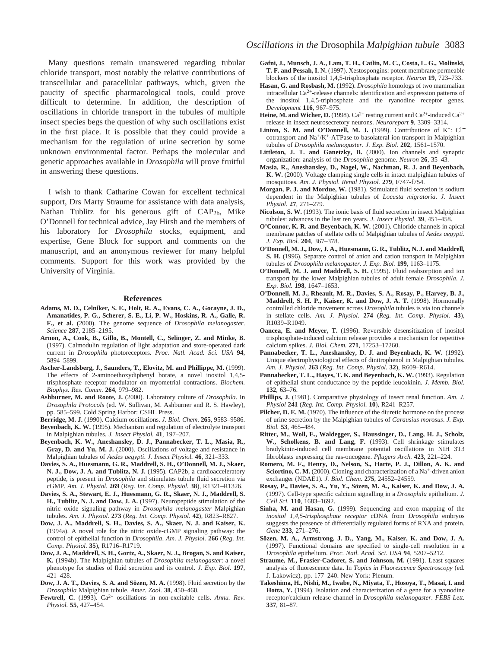Many questions remain unanswered regarding tubular chloride transport, most notably the relative contributions of transcellular and paracellular pathways, which, given the paucity of specific pharmacological tools, could prove difficult to determine. In addition, the description of oscillations in chloride transport in the tubules of multiple insect species begs the question of why such oscillations exist in the first place. It is possible that they could provide a mechanism for the regulation of urine secretion by some unknown environmental factor. Perhaps the molecular and genetic approaches available in *Drosophila* will prove fruitful in answering these questions.

I wish to thank Catharine Cowan for excellent technical support, Drs Marty Straume for assistance with data analysis, Nathan Tublitz for his generous gift of CAP2b, Mike O'Donnell for technical advice, Jay Hirsh and the members of his laboratory for *Drosophila* stocks, equipment, and expertise, Gene Block for support and comments on the manuscript, and an anonymous reviewer for many helpful comments. Support for this work was provided by the University of Virginia.

#### **References**

- **Adams, M. D., Celniker, S. E., Holt, R. A., Evans, C. A., Gocayne, J. D., Amanatides, P. G., Scherer, S. E., Li, P. W., Hoskins, R. A., Galle, R. F., et al. (**2000). The genome sequence of *Drosophila melanogaster*. *Science* **287**, 2185–2195.
- **Arnon, A., Cook, B., Gillo, B., Montell, C., Selinger, Z. and Minke, B.** (1997). Calmodulin regulation of light adaptation and store-operated dark current in *Drosophila* photoreceptors. *Proc. Natl. Acad. Sci. USA* **94**, 5894–5899.
- **Ascher-Landsberg, J., Saunders, T., Elovitz, M. and Phillippe, M.** (1999). The effects of 2-aminoethoxydiphenyl borate, a novel inositol 1,4,5 trisphosphate receptor modulator on myometrial contractions. *Biochem. Biophys. Res. Comm.* **264**, 979–982.
- **Ashburner, M. and Roote, J.** (2000). Laboratory culture of *Drosophila*. In *Drosophila Protocols* (ed. W. Sullivan, M. Ashburner and R. S. Hawley), pp. 585–599. Cold Spring Harbor: CSHL Press.
- **Berridge, M. J.** (1990). Calcium oscillations. *J. Biol. Chem.* **265**, 9583–9586.
- **Beyenbach, K. W.** (1995). Mechanism and regulation of electrolyte transport in Malpighian tubules. *J. Insect Physiol.* **41**, 197–207.
- **Beyenbach, K. W., Aneshansley, D. J., Pannabecker, T. L., Masia, R., Gray, D. and Yu, M. J.** (2000). Oscillations of voltage and resistance in Malpighian tubules of *Aedes aegypti*. *J. Insect Physiol.* **46**, 321–333.
- **Davies, S. A., Huesmann, G. R., Maddrell, S. H., O'Donnell, M. J., Skaer, N. J., Dow, J. A. and Tublitz, N. J.** (1995). CAP2b, a cardioacceleratory peptide, is present in *Drosophila* and stimulates tubule fluid secretion via cGMP. *Am. J. Physiol.* **269** (*Reg. Int. Comp. Physiol.* **38**), R1321–R1326.
- **Davies, S. A., Stewart, E. J., Huesmann, G. R., Skaer, N. J., Maddrell, S. H., Tublitz, N. J. and Dow, J. A.** (1997). Neuropeptide stimulation of the nitric oxide signaling pathway in *Drosophila melanogaster* Malpighian tubules. *Am. J. Physiol.* **273** (*Reg. Int. Comp. Physiol.* **42**), R823–R827.
- **Dow, J. A., Maddrell, S. H., Davies, S. A., Skaer, N. J. and Kaiser, K.** (1994a). A novel role for the nitric oxide-cGMP signaling pathway: the control of epithelial function in *Drosophila*. *Am. J. Physiol.* **266** (*Reg. Int. Comp. Physiol.* **35**), R1716–R1719.
- **Dow, J. A., Maddrell, S. H., Gortz, A., Skaer, N. J., Brogan, S. and Kaiser, K.** (1994b). The Malpighian tubules of *Drosophila melanogaster*: a novel phenotype for studies of fluid secretion and its control. *J. Exp. Biol.* **197**, 421–428.
- **Dow, J. A. T., Davies, S. A. and Sözen, M. A.** (1998). Fluid secretion by the *Drosophila* Malpighian tubule. *Amer. Zool.* **38**, 450–460.
- Fewtrell, C. (1993). Ca<sup>2+</sup> oscillations in non-excitable cells. Annu. Rev. *Physiol.* **55**, 427–454.
- **Gafni, J., Munsch, J. A., Lam, T. H., Catlin, M. C., Costa, L. G., Molinski, T. F. and Pessah, I. N.** (1997). Xestospongins: potent membrane permeable blockers of the inositol 1,4,5-trisphosphate receptor. *Neuron* **19**, 723–733.
- **Hasan, G. and Rosbash, M.** (1992). *Drosophila* homologs of two mammalian intracellular Ca2+-release channels: identification and expression patterns of the inositol 1,4,5-triphosphate and the ryanodine receptor genes. *Development* **116**, 967–975.
- **Heine, M. and Wicher, D.** (1998).  $Ca^{2+}$  resting current and  $Ca^{2+}$ -induced  $Ca^{2+}$ release in insect neurosecretory neurons. *Neuroreport* **9**, 3309–3314.
- Linton, S. M. and O'Donnell, M. J. (1999). Contributions of K<sup>+</sup>: Cl<sup>−</sup> cotransport and Na+/K+-ATPase to basolateral ion transport in Malpighian tubules of *Drosophila melanogaster*. *J. Exp. Biol.* **202**, 1561–1570.
- Littleton, J. T. and Ganetzky, B. (2000). Ion channels and synaptic organization: analysis of the *Drosophila* genome. *Neuron* **26**, 35–43.
- **Masia, R., Aneshansley, D., Nagel, W., Nachman, R. J. and Beyenbach, K. W.** (2000). Voltage clamping single cells in intact malpighian tubules of mosquitoes. *Am. J. Physiol. Renal Physiol.* **279**, F747-f754.
- **Morgan, P. J. and Mordue, W.** (1981). Stimulated fluid secretion is sodium dependent in the Malpighian tubules of *Locusta migratoria*. *J. Insect Physiol.* **27**, 271–279.
- **Nicolson, S. W.** (1993). The ionic basis of fluid secretion in insect Malpighian tubules: advances in the last ten years. *J. Insect Physiol.* **39**, 451–458.
- **O'Connor, K. R. and Beyenbach, K. W.** (2001). Chloride channels in apical membrane patches of stellate cells of Malpighian tubules of *Aedes aegypti*. *J. Exp. Biol.* **204**, 367–378.
- **O'Donnell, M. J., Dow, J. A., Huesmann, G. R., Tublitz, N. J. and Maddrell, S. H.** (1996). Separate control of anion and cation transport in Malpighian tubules of *Drosophila melanogaster*. *J. Exp. Biol.* **199**, 1163–1175.
- **O'Donnell, M. J. and Maddrell, S. H.** (1995). Fluid reabsorption and ion transport by the lower Malpighian tubules of adult female *Drosophila*. *J. Exp. Biol.* **198**, 1647–1653.
- **O'Donnell, M. J., Rheault, M. R., Davies, S. A., Rosay, P., Harvey, B. J., Maddrell, S. H. P., Kaiser, K. and Dow, J. A. T.** (1998). Hormonally controlled chloride movement across *Drosophila* tubules is via ion channels in stellate cells. *Am. J. Physiol.* **274** (*Reg. Int. Comp. Physiol.* **43**), R1039–R1049.
- **Oancea, E. and Meyer, T.** (1996). Reversible desensitization of inositol trisphosphate-induced calcium release provides a mechanism for repetitive calcium spikes. *J. Biol. Chem.* **271**, 17253–17260.
- **Pannabecker, T. L., Aneshansley, D. J. and Beyenbach, K. W.** (1992). Unique electrophysiological effects of dinitrophenol in Malpighian tubules. *Am. J. Physiol.* **263** (*Reg. Int. Comp. Physiol.* **32**), R609–R614.
- Pannabecker, T. L., Hayes, T. K. and Beyenbach, K. W. (1993). Regulation of epithelial shunt conductance by the peptide leucokinin. *J. Memb. Biol.* **132**, 63–76.
- **Phillips, J.** (1981). Comparative physiology of insect renal function. *Am. J. Physiol* **241** (*Reg. Int. Comp. Physiol.* **10**), R241–R257.
- **Pilcher, D. E. M.** (1970). The influence of the diuretic hormone on the process of urine secretion by the Malpighian tubules of *Carausius morosus*. *J. Exp. Biol.* **53**, 465–484.
- **Ritter, M., Woll, E., Waldegger, S., Haussinger, D., Lang, H. J., Scholz, W., Scholkens, B. and Lang, F.** (1993). Cell shrinkage stimulates bradykinin-induced cell membrane potential oscillations in NIH 3T3 fibroblasts expressing the ras-oncogene. *Pflugers Arch.* **423**, 221–224.
- **Romero, M. F., Henry, D., Nelson, S., Harte, P. J., Dillon, A. K. and** Sciortino, C. M. (2000). Cloning and characterization of a Na<sup>+</sup>-driven anion exchanger (NDAE1). *J. Biol. Chem.* **275**, 24552–24559.
- **Rosay, P., Davies, S. A., Yu, Y., Sözen, M. A., Kaiser, K. and Dow, J. A.** (1997). Cell-type specific calcium signalling in a *Drosophila* epithelium. *J. Cell Sci.* **110**, 1683–1692.
- **Sinha, M. and Hasan, G.** (1999). Sequencing and exon mapping of the *inositol 1,4,5-trisphosphate receptor* cDNA from *Drosophila* embryos suggests the presence of differentially regulated forms of RNA and protein. *Gene* **233**, 271–276.
- **Sözen, M. A., Armstrong, J. D., Yang, M., Kaiser, K. and Dow, J. A.** (1997). Functional domains are specified to single-cell resolution in a *Drosophila* epithelium. *Proc. Natl. Acad. Sci. USA* **94**, 5207–5212.
- **Straume, M., Frasier-Cadoret, S. and Johnson, M.** (1991). Least squares analysis of fluorescence data. In *Topics in Fluorescence Spectroscopy* (ed. J. Lakowicz), pp. 177–240. New York: Plenum.
- **Takeshima, H., Nishi, M., Iwabe, N., Miyata, T., Hosoya, T., Masai, I. and Hotta, Y.** (1994). Isolation and characterization of a gene for a ryanodine receptor/calcium release channel in *Drosophila melanogaster*. *FEBS Lett.* **337**, 81–87.